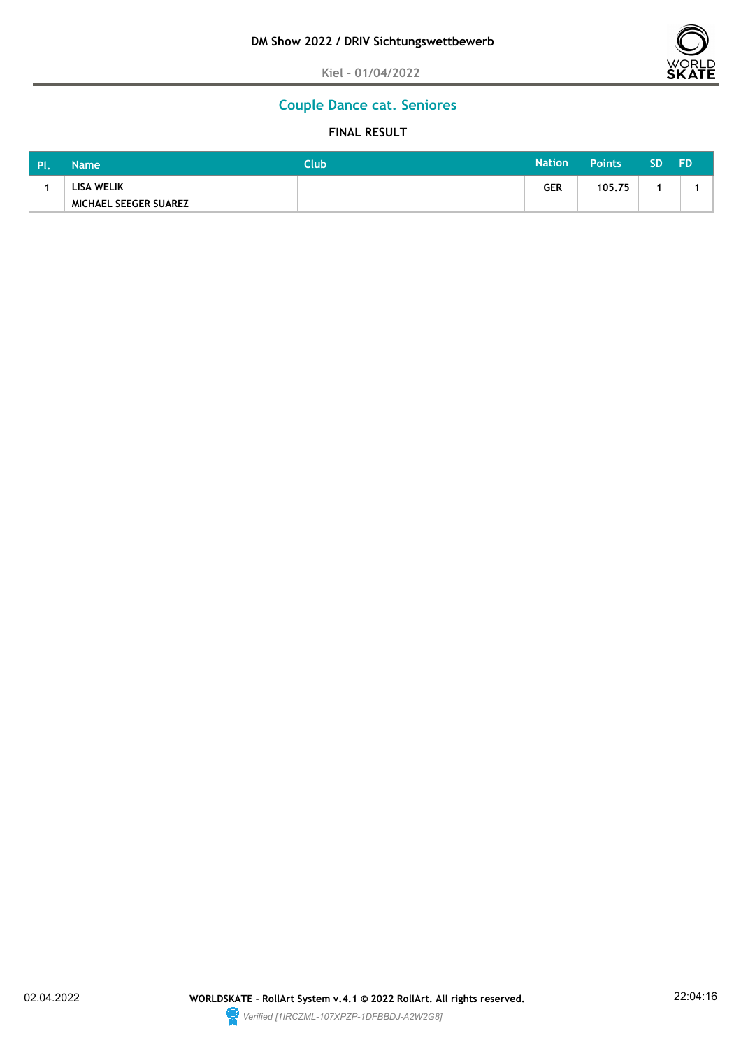

# **Couple Dance cat. Seniores**

| <b>PI</b> | <b>Name</b>           | Club | <b>Nation</b> | <b>Points</b> | SD | FD. |
|-----------|-----------------------|------|---------------|---------------|----|-----|
|           | <b>LISA WELIK</b>     |      | <b>GER</b>    | 105.75        |    |     |
|           | MICHAEL SEEGER SUAREZ |      |               |               |    |     |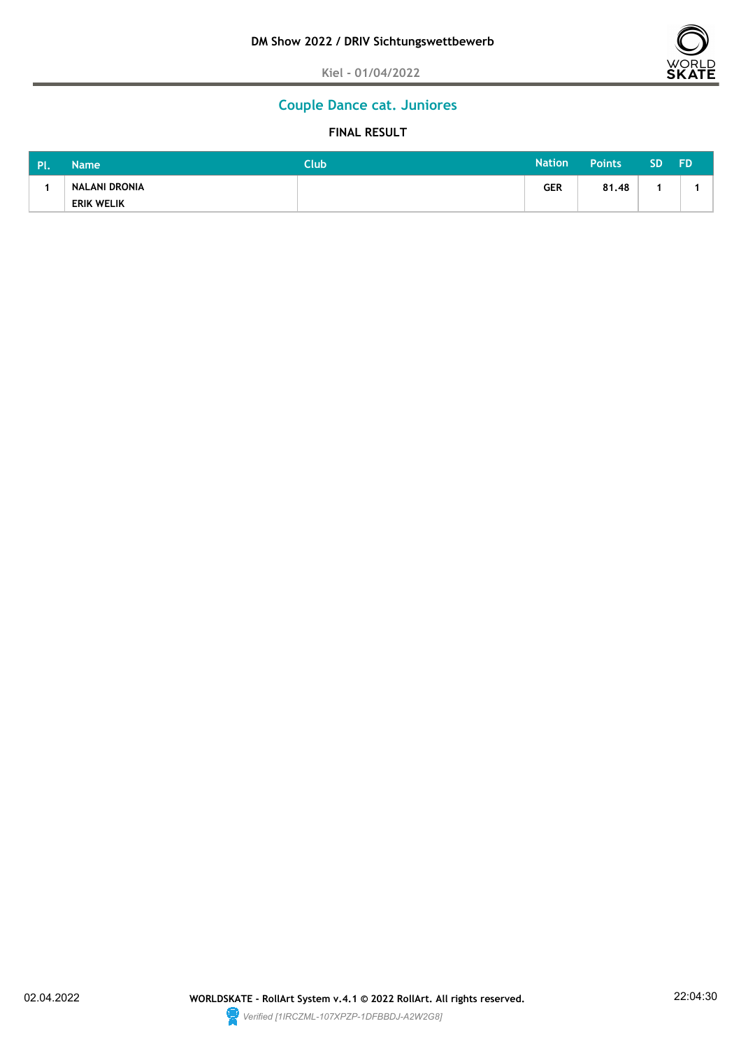

# **Couple Dance cat. Juniores**

| <b>PI</b> | <b>Name</b>          | Club | <b>Nation</b> | <b>Points</b> | <b>SD</b> | <b>FD</b> |
|-----------|----------------------|------|---------------|---------------|-----------|-----------|
|           | <b>NALANI DRONIA</b> |      | <b>GER</b>    | 81.48         |           |           |
|           | <b>ERIK WELIK</b>    |      |               |               |           |           |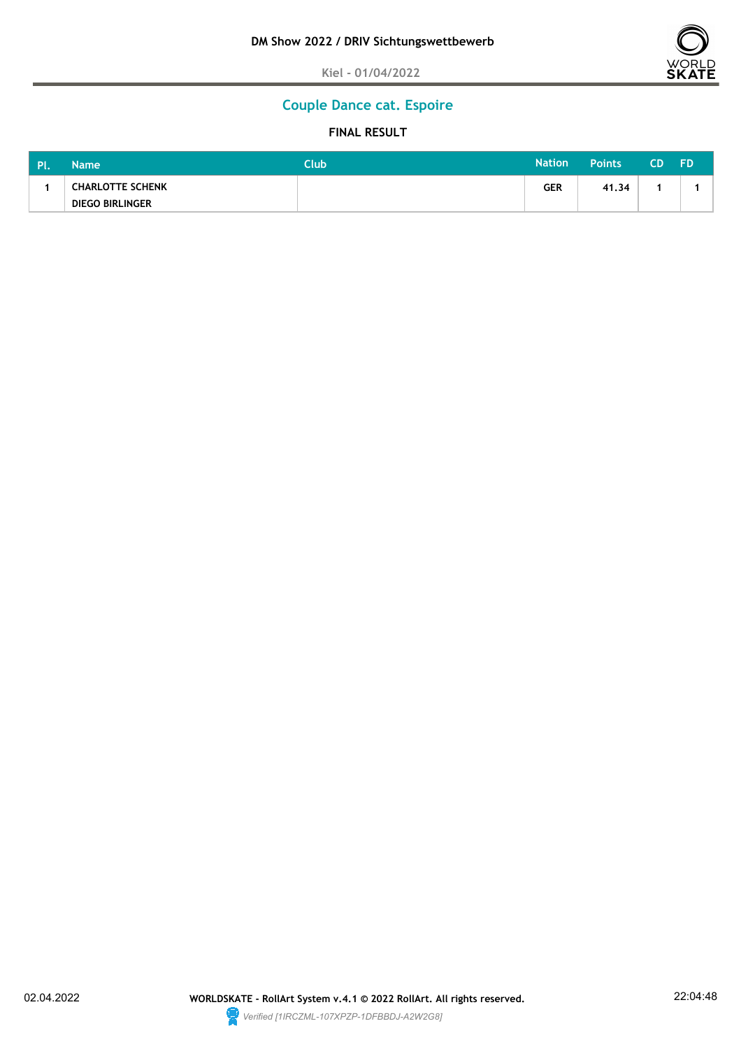

# **Couple Dance cat. Espoire**

| <b>PI</b> | <b>Name</b>             | Club | <b>Nation</b> | <b>Points</b> | CD. | <b>FD</b> |
|-----------|-------------------------|------|---------------|---------------|-----|-----------|
|           | <b>CHARLOTTE SCHENK</b> |      | <b>GER</b>    | 41.34         |     |           |
|           | <b>DIEGO BIRLINGER</b>  |      |               |               |     |           |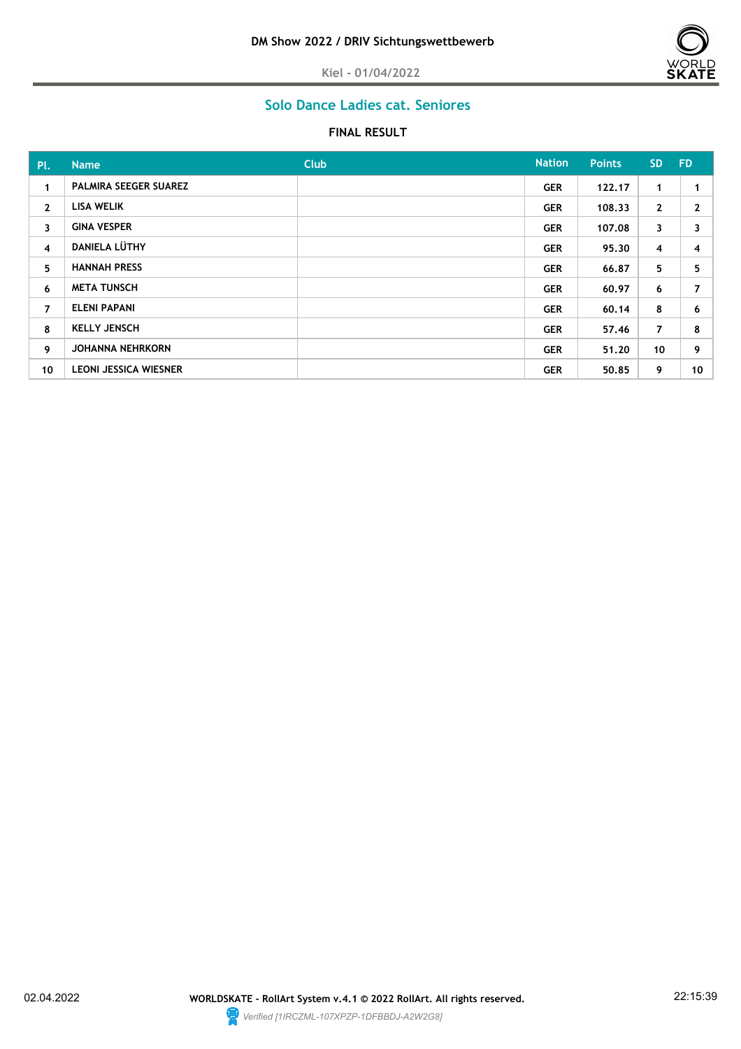

# **Solo Dance Ladies cat. Seniores**

| Pl.            | <b>Name</b>                  | <b>Club</b> | <b>Nation</b> | <b>Points</b> | <b>SD</b>      | <b>FD</b> |
|----------------|------------------------------|-------------|---------------|---------------|----------------|-----------|
| $\mathbf{1}$   | <b>PALMIRA SEEGER SUAREZ</b> |             | <b>GER</b>    | 122.17        | 1.             |           |
| $\mathbf{2}$   | <b>LISA WELIK</b>            |             | <b>GER</b>    | 108.33        | $\mathbf{2}$   | 2         |
| 3              | <b>GINA VESPER</b>           |             | <b>GER</b>    | 107.08        | 3              | 3         |
| $\overline{4}$ | <b>DANIELA LÜTHY</b>         |             | <b>GER</b>    | 95,30         | 4              | 4         |
| 5              | <b>HANNAH PRESS</b>          |             | <b>GER</b>    | 66.87         | 5              | 5         |
| 6              | <b>META TUNSCH</b>           |             | <b>GER</b>    | 60.97         | 6              | 7         |
| $\overline{7}$ | <b>ELENI PAPANI</b>          |             | <b>GER</b>    | 60.14         | 8              | 6         |
| 8              | <b>KELLY JENSCH</b>          |             | <b>GER</b>    | 57.46         | $\overline{7}$ | 8         |
| 9              | <b>JOHANNA NEHRKORN</b>      |             | <b>GER</b>    | 51.20         | 10             | 9         |
| 10             | <b>LEONI JESSICA WIESNER</b> |             | <b>GER</b>    | 50.85         | 9              | 10        |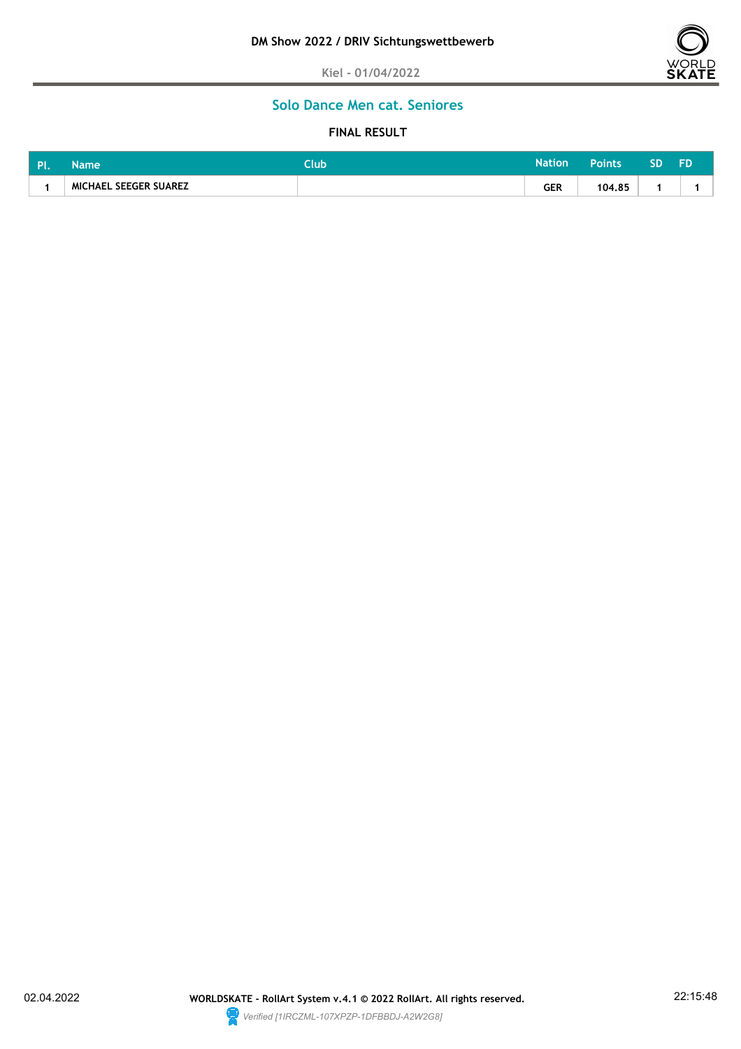

# **Solo Dance Men cat. Seniores**

| . PI. | Name                  | <b>Club</b> | <b>Nation</b> | <b>Points</b> | --<br>ינ |  |
|-------|-----------------------|-------------|---------------|---------------|----------|--|
|       | MICHAEL SEEGER SUAREZ |             | GER<br>$\sim$ | 104.85        |          |  |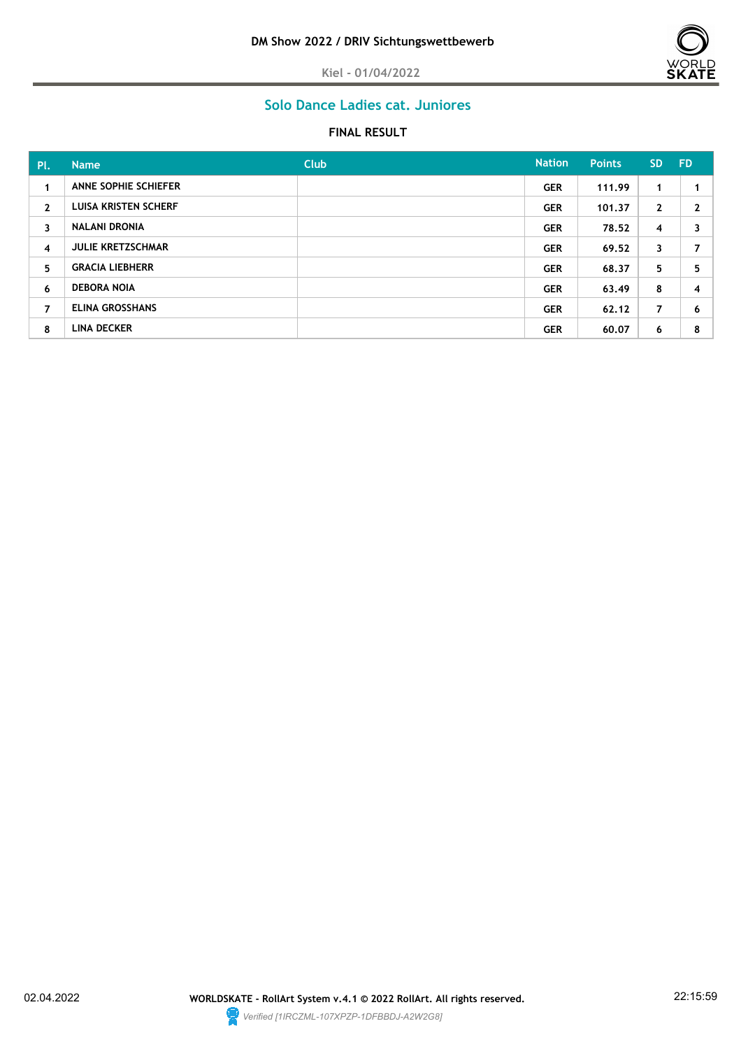

# **Solo Dance Ladies cat. Juniores**

| PL.            | <b>Name</b>                 | Club | <b>Nation</b> | <b>Points</b> | <b>SD</b>      | - FD |
|----------------|-----------------------------|------|---------------|---------------|----------------|------|
| $\mathbf{1}$   | ANNE SOPHIE SCHIEFER        |      | <b>GER</b>    | 111.99        | 1              |      |
| $\mathbf{2}$   | <b>LUISA KRISTEN SCHERF</b> |      | <b>GER</b>    | 101.37        | $\mathbf{2}$   | 2    |
| $\mathbf{3}$   | <b>NALANI DRONIA</b>        |      | <b>GER</b>    | 78.52         | 4              | 3    |
| 4              | <b>JULIE KRETZSCHMAR</b>    |      | <b>GER</b>    | 69.52         | 3              | 7    |
| 5.             | <b>GRACIA LIEBHERR</b>      |      | <b>GER</b>    | 68.37         | 5              | 5    |
| 6              | <b>DEBORA NOIA</b>          |      | <b>GER</b>    | 63.49         | 8              | 4    |
| $\overline{7}$ | <b>ELINA GROSSHANS</b>      |      | <b>GER</b>    | 62.12         | $\overline{7}$ | 6    |
| 8              | <b>LINA DECKER</b>          |      | <b>GER</b>    | 60.07         | 6              | 8    |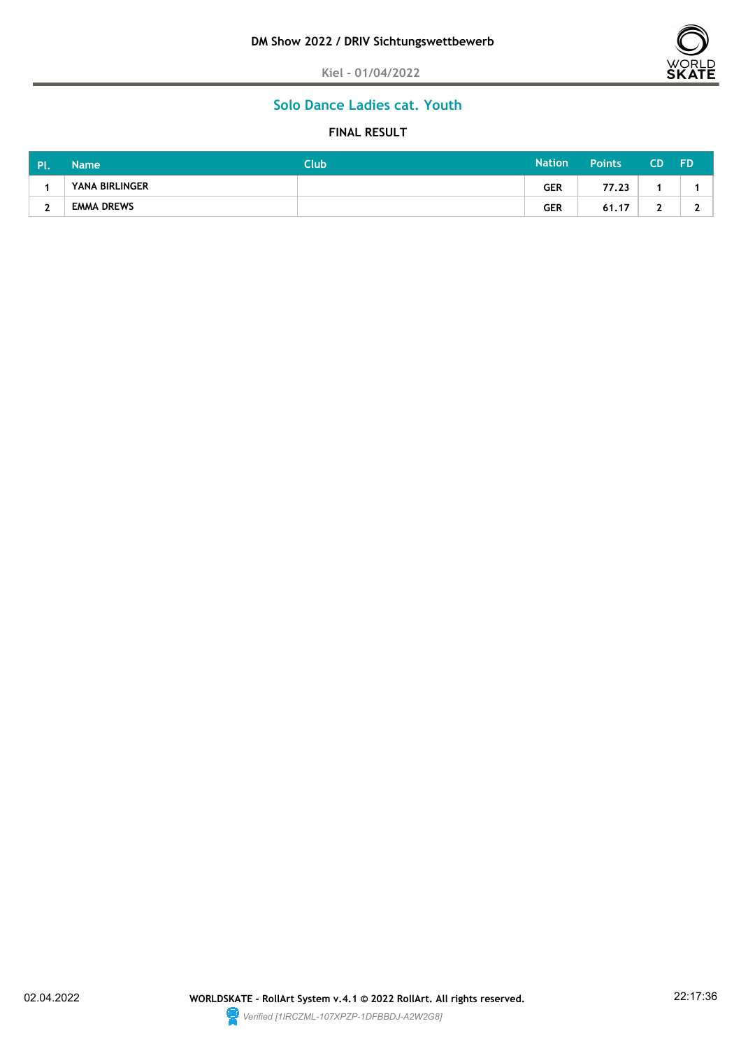

# **Solo Dance Ladies cat. Youth**

| . Pl | <b>Name</b>       | Club <sup>1</sup> | <b>Nation</b> | <b>Points</b> | CD. | <b>FD</b> |
|------|-------------------|-------------------|---------------|---------------|-----|-----------|
|      | YANA BIRLINGER    |                   | <b>GER</b>    | 77.23         |     |           |
| ∽    | <b>EMMA DREWS</b> |                   | <b>GER</b>    | 61.17         |     |           |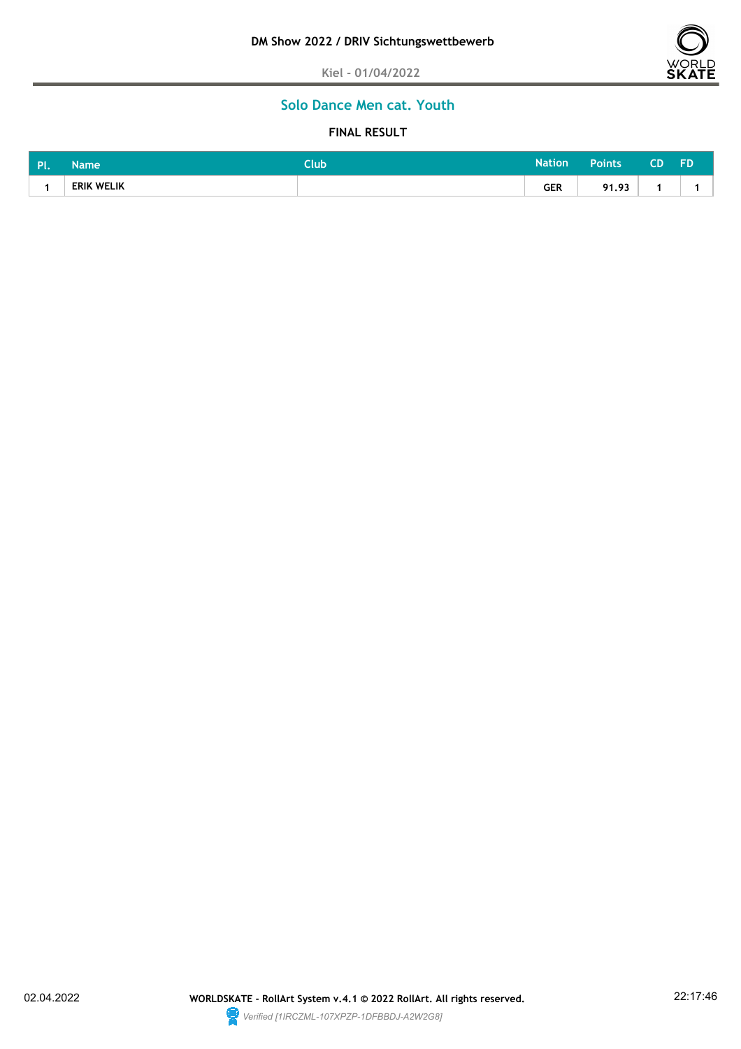

# **Solo Dance Men cat. Youth**

| <b>DI</b><br>. . | Name              | <b>Club</b> | <b>Nation</b> | <b>Points</b>     | CD | FD |
|------------------|-------------------|-------------|---------------|-------------------|----|----|
|                  | <b>ERIK WELIK</b> |             | <b>GER</b>    | 0102<br>7 I . 7 J |    |    |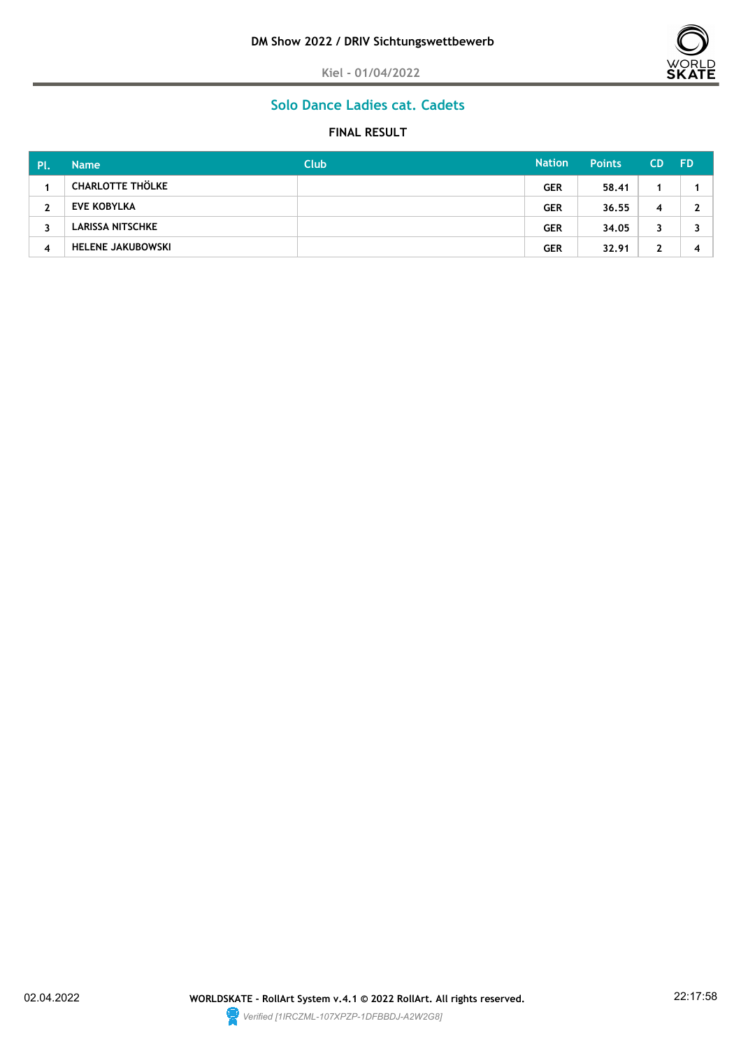



# **Solo Dance Ladies cat. Cadets**

| Pl | <b>Name</b>              | <b>Club</b> | <b>Nation</b> | <b>Points</b> | <b>CD</b> | <b>FD</b> |
|----|--------------------------|-------------|---------------|---------------|-----------|-----------|
|    | <b>CHARLOTTE THÖLKE</b>  |             | <b>GER</b>    | 58.41         |           |           |
| 2  | <b>EVE KOBYLKA</b>       |             | <b>GER</b>    | 36.55         | 4         |           |
| 3  | LARISSA NITSCHKE         |             | <b>GER</b>    | 34.05         | 3         |           |
| 4  | <b>HELENE JAKUBOWSKI</b> |             | <b>GER</b>    | 32.91         | າ         |           |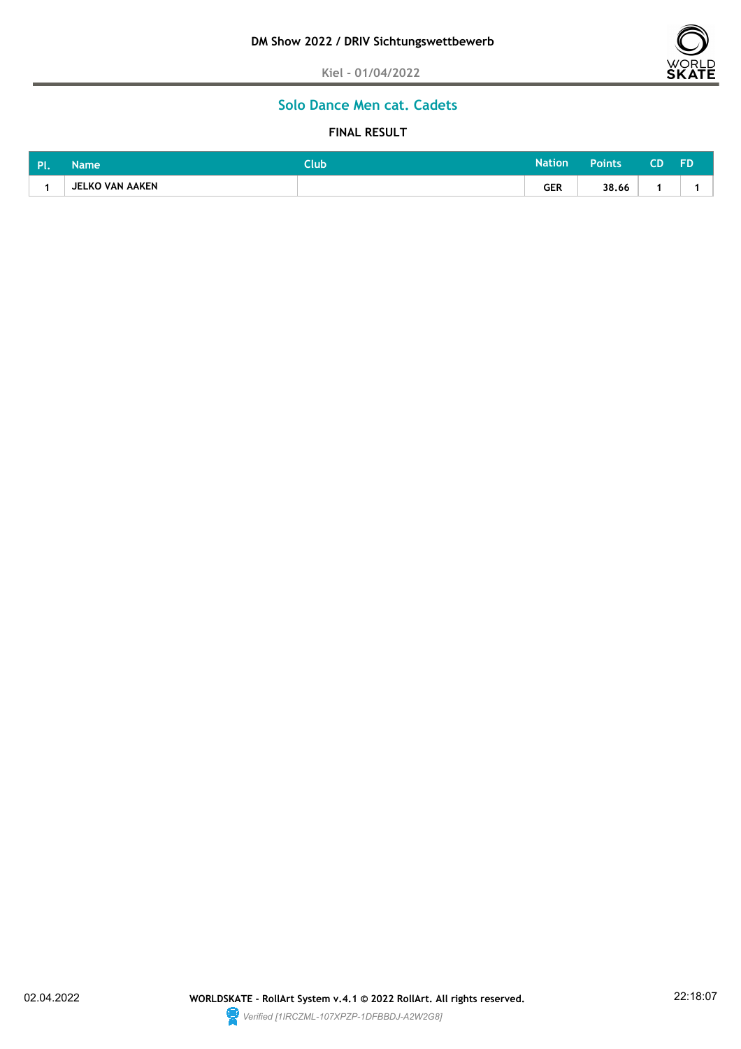

# **Solo Dance Men cat. Cadets**

| <b>DI</b> | Name            | <b>Club</b> | Nation' | Points | FD |
|-----------|-----------------|-------------|---------|--------|----|
|           | JELKO VAN AAKEN |             | GER     | 38.66  |    |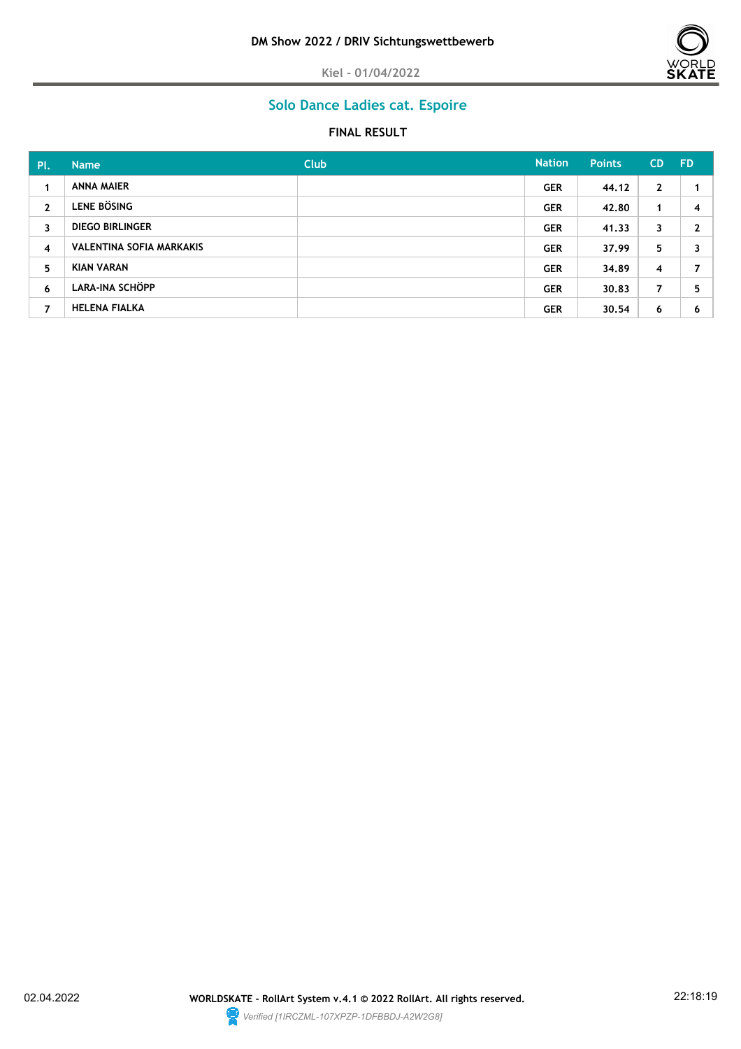

# **Solo Dance Ladies cat. Espoire**

| PL             | <b>Name</b>                     | <b>Club</b> | <b>Nation</b> | <b>Points</b> | <b>CD</b>    | <b>FD</b> |
|----------------|---------------------------------|-------------|---------------|---------------|--------------|-----------|
| 1              | ANNA MAIER                      |             | <b>GER</b>    | 44.12         | $\mathbf{2}$ |           |
| $\mathbf{2}$   | <b>LENE BÖSING</b>              |             | <b>GER</b>    | 42.80         | 1            | 4         |
| 3              | <b>DIEGO BIRLINGER</b>          |             | <b>GER</b>    | 41,33         | 3            | 2         |
| $\overline{4}$ | <b>VALENTINA SOFIA MARKAKIS</b> |             | <b>GER</b>    | 37.99         | 5.           | 3         |
| 5              | <b>KIAN VARAN</b>               |             | <b>GER</b>    | 34.89         | 4            | 7         |
| 6              | LARA-INA SCHÖPP                 |             | <b>GER</b>    | 30.83         | 7            | 5         |
| 7              | <b>HELENA FIALKA</b>            |             | <b>GER</b>    | 30.54         | 6            | 6         |